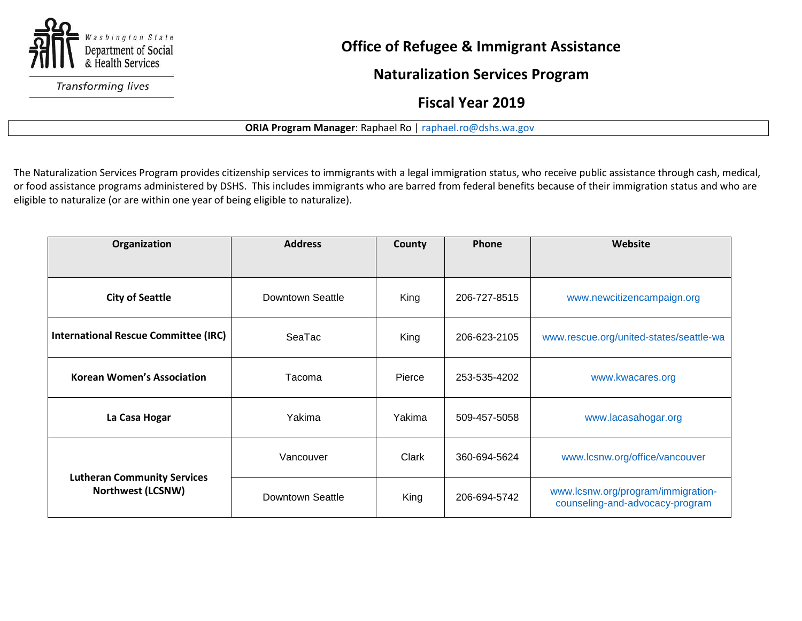

**Transforming lives** 

## **Office of Refugee & Immigrant Assistance**

**Naturalization Services Program**

 **Fiscal Year 2019**

## **ORIA Program Manager**: Raphael Ro [| raphael.ro@dshs.wa.gov](mailto:raphael.ro@dshs.wa.gov)

The Naturalization Services Program provides citizenship services to immigrants with a legal immigration status, who receive public assistance through cash, medical, or food assistance programs administered by DSHS. This includes immigrants who are barred from federal benefits because of their immigration status and who are eligible to naturalize (or are within one year of being eligible to naturalize).

| Organization                                                   | <b>Address</b>   | County | Phone        | Website                                                               |
|----------------------------------------------------------------|------------------|--------|--------------|-----------------------------------------------------------------------|
| <b>City of Seattle</b>                                         | Downtown Seattle | King   | 206-727-8515 | www.newcitizencampaign.org                                            |
| <b>International Rescue Committee (IRC)</b>                    | SeaTac           | King   | 206-623-2105 | www.rescue.org/united-states/seattle-wa                               |
| <b>Korean Women's Association</b>                              | Tacoma           | Pierce | 253-535-4202 | www.kwacares.org                                                      |
| La Casa Hogar                                                  | Yakima           | Yakima | 509-457-5058 | www.lacasahogar.org                                                   |
| <b>Lutheran Community Services</b><br><b>Northwest (LCSNW)</b> | Vancouver        | Clark  | 360-694-5624 | www.lcsnw.org/office/vancouver                                        |
|                                                                | Downtown Seattle | King   | 206-694-5742 | www.lcsnw.org/program/immigration-<br>counseling-and-advocacy-program |